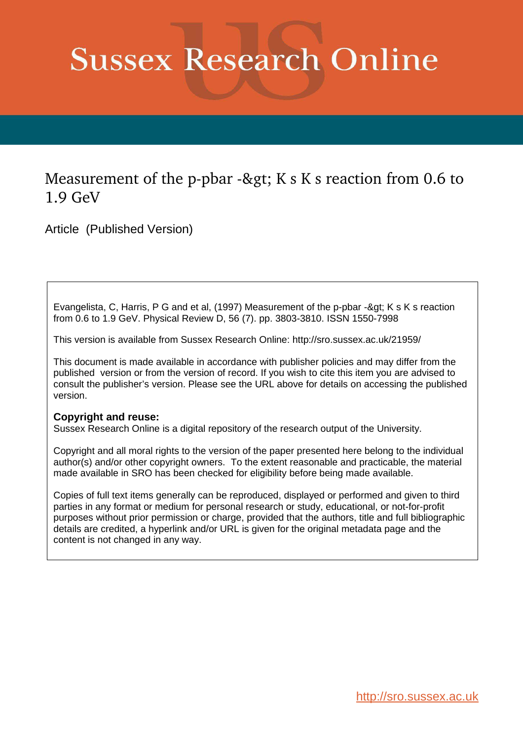# **Sussex Research Online**

# Measurement of the p-pbar -> K s K s reaction from 0.6 to 1.9 GeV

Article (Published Version)

Evangelista, C, Harris, P G and et al, (1997) Measurement of the p-pbar -> K s K s reaction from 0.6 to 1.9 GeV. Physical Review D, 56 (7). pp. 3803-3810. ISSN 1550-7998

This version is available from Sussex Research Online: http://sro.sussex.ac.uk/21959/

This document is made available in accordance with publisher policies and may differ from the published version or from the version of record. If you wish to cite this item you are advised to consult the publisher's version. Please see the URL above for details on accessing the published version.

## **Copyright and reuse:**

Sussex Research Online is a digital repository of the research output of the University.

Copyright and all moral rights to the version of the paper presented here belong to the individual author(s) and/or other copyright owners. To the extent reasonable and practicable, the material made available in SRO has been checked for eligibility before being made available.

Copies of full text items generally can be reproduced, displayed or performed and given to third parties in any format or medium for personal research or study, educational, or not-for-profit purposes without prior permission or charge, provided that the authors, title and full bibliographic details are credited, a hyperlink and/or URL is given for the original metadata page and the content is not changed in any way.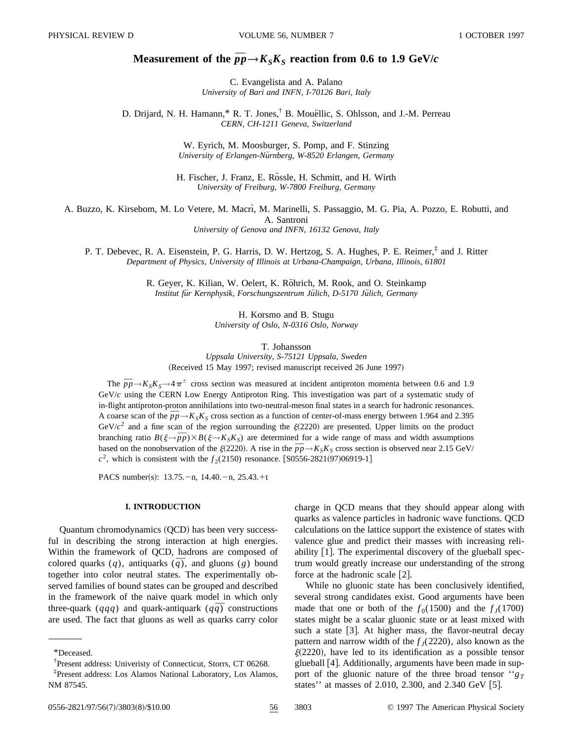### **Measurement of the**  $\bar{p}p \rightarrow K_S K_S$  **reaction from 0.6 to 1.9 GeV/***c*

C. Evangelista and A. Palano *University of Bari and INFN, I-70126 Bari, Italy*

D. Drijard, N. H. Hamann,\* R. T. Jones,<sup>†</sup> B. Mouellic, S. Ohlsson, and J.-M. Perreau *CERN, CH-1211 Geneva, Switzerland*

> W. Eyrich, M. Moosburger, S. Pomp, and F. Stinzing *University of Erlangen-Nu¨rnberg, W-8520 Erlangen, Germany*

H. Fischer, J. Franz, E. Rössle, H. Schmitt, and H. Wirth *University of Freiburg, W-7800 Freiburg, Germany*

A. Buzzo, K. Kirsebom, M. Lo Vetere, M. Macri, M. Marinelli, S. Passaggio, M. G. Pia, A. Pozzo, E. Robutti, and A. Santroni

*University of Genova and INFN, 16132 Genova, Italy*

P. T. Debevec, R. A. Eisenstein, P. G. Harris, D. W. Hertzog, S. A. Hughes, P. E. Reimer,<sup>‡</sup> and J. Ritter *Department of Physics, University of Illinois at Urbana-Champaign, Urbana, Illinois, 61801*

> R. Geyer, K. Kilian, W. Oelert, K. Röhrich, M. Rook, and O. Steinkamp Institut für Kernphysik, Forschungszentrum Jülich, D-5170 Jülich, Germany

> > H. Korsmo and B. Stugu *University of Oslo, N-0316 Oslo, Norway*

> > > T. Johansson

*Uppsala University, S-75121 Uppsala, Sweden* (Received 15 May 1997; revised manuscript received 26 June 1997)

The  $\bar{p}p \rightarrow K_S K_S \rightarrow 4\pi^{\pm}$  cross section was measured at incident antiproton momenta between 0.6 and 1.9 GeV/*c* using the CERN Low Energy Antiproton Ring. This investigation was part of a systematic study of in-flight antiproton-proton annihilations into two-neutral-meson final states in a search for hadronic resonances. A coarse scan of the  $\bar{p}p \rightarrow K_S K_S$  cross section as a function of center-of-mass energy between 1.964 and 2.395 GeV/ $c^2$  and a fine scan of the region surrounding the  $\xi(2220)$  are presented. Upper limits on the product branching ratio  $B(\xi \rightarrow \overline{p}p) \times B(\xi \rightarrow K_S K_S)$  are determined for a wide range of mass and width assumptions based on the nonobservation of the  $\zeta(2220)$ . A rise in the  $\bar{p}p \rightarrow K_S K_S$  cross section is observed near 2.15 GeV/  $c^2$ , which is consistent with the  $f_2(2150)$  resonance. [S0556-2821(97)06919-1]

PACS number(s):  $13.75$ . - n,  $14.40$ . - n,  $25.43$ . + t

#### **I. INTRODUCTION**

Quantum chromodynamics (QCD) has been very successful in describing the strong interaction at high energies. Within the framework of QCD, hadrons are composed of colored quarks  $(q)$ , antiquarks  $(\bar{q})$ , and gluons  $(g)$  bound together into color neutral states. The experimentally observed families of bound states can be grouped and described in the framework of the naive quark model in which only three-quark ( $qqq$ ) and quark-antiquark ( $q\bar{q}$ ) constructions are used. The fact that gluons as well as quarks carry color charge in QCD means that they should appear along with quarks as valence particles in hadronic wave functions. QCD calculations on the lattice support the existence of states with valence glue and predict their masses with increasing reliability  $[1]$ . The experimental discovery of the glueball spectrum would greatly increase our understanding of the strong force at the hadronic scale  $[2]$ .

While no gluonic state has been conclusively identified, several strong candidates exist. Good arguments have been made that one or both of the  $f_0(1500)$  and the  $f_J(1700)$ states might be a scalar gluonic state or at least mixed with such a state  $[3]$ . At higher mass, the flavor-neutral decay pattern and narrow width of the  $f_J(2220)$ , also known as the  $\xi(2220)$ , have led to its identification as a possible tensor glueball [4]. Additionally, arguments have been made in support of the gluonic nature of the three broad tensor  $``g_T$ states'' at masses of 2.010, 2.300, and 2.340 GeV  $[5]$ .

<sup>\*</sup>Deceased.

<sup>†</sup>Present address: Univeristy of Connecticut, Storrs, CT 06268.

<sup>‡</sup>Present address: Los Alamos National Laboratory, Los Alamos, NM 87545.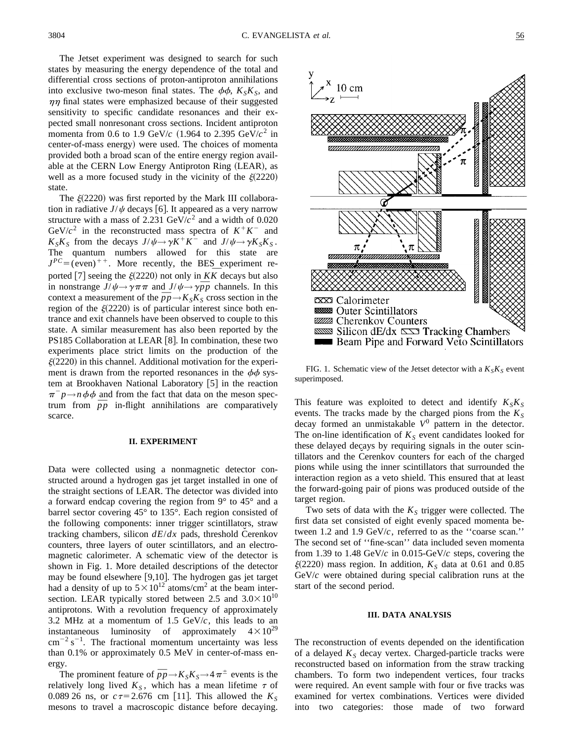The Jetset experiment was designed to search for such states by measuring the energy dependence of the total and differential cross sections of proton-antiproton annihilations into exclusive two-meson final states. The  $\phi\phi$ ,  $K_S K_S$ , and  $\eta\eta$  final states were emphasized because of their suggested sensitivity to specific candidate resonances and their expected small nonresonant cross sections. Incident antiproton momenta from 0.6 to 1.9 GeV/ $c$  (1.964 to 2.395 GeV/ $c^2$  in center-of-mass energy) were used. The choices of momenta provided both a broad scan of the entire energy region available at the CERN Low Energy Antiproton Ring (LEAR), as well as a more focused study in the vicinity of the  $\xi(2220)$ state.

The  $\xi(2220)$  was first reported by the Mark III collaboration in radiative  $J/\psi$  decays [6]. It appeared as a very narrow structure with a mass of 2.231  $GeV/c^2$  and a width of 0.020 GeV/ $c^2$  in the reconstructed mass spectra of  $K^+K^-$  and  $K_S K_S$  from the decays  $J/\psi \rightarrow \gamma K^+ K^-$  and  $J/\psi \rightarrow \gamma K_S K_S$ . The quantum numbers allowed for this state are  $J^{PC} = (even)^{++}$ . More recently, the BES experiment re- $J^2 = ($  even)  $\cdot \cdot$ . More recently, the BES experiment reported [7] seeing the  $\xi(2220)$  not only in  $K\overline{K}$  decays but also in nonstrange  $J/\psi \rightarrow \gamma \pi \pi$  and  $J/\psi \rightarrow \gamma \bar{p}p$  channels. In this context a measurement of the  $\bar{p}p \rightarrow K_S K_S$  cross section in the region of the  $\xi(2220)$  is of particular interest since both entrance and exit channels have been observed to couple to this state. A similar measurement has also been reported by the PS185 Collaboration at LEAR  $[8]$ . In combination, these two experiments place strict limits on the production of the  $\xi(2220)$  in this channel. Additional motivation for the experiment is drawn from the reported resonances in the  $\phi\phi$  system at Brookhaven National Laboratory  $[5]$  in the reaction  $\pi^- p \rightarrow n \phi \phi$  and from the fact that data on the meson spectrum from  $\bar{p}p$  in-flight annihilations are comparatively scarce.

#### **II. EXPERIMENT**

Data were collected using a nonmagnetic detector constructed around a hydrogen gas jet target installed in one of the straight sections of LEAR. The detector was divided into a forward endcap covering the region from 9° to 45° and a barrel sector covering 45° to 135°. Each region consisted of the following components: inner trigger scintillators, straw tracking chambers, silicon  $dE/dx$  pads, threshold Cerenkov counters, three layers of outer scintillators, and an electromagnetic calorimeter. A schematic view of the detector is shown in Fig. 1. More detailed descriptions of the detector may be found elsewhere  $[9,10]$ . The hydrogen gas jet target had a density of up to  $5 \times 10^{12}$  atoms/cm<sup>2</sup> at the beam intersection. LEAR typically stored between 2.5 and  $3.0 \times 10^{10}$ antiprotons. With a revolution frequency of approximately 3.2 MHz at a momentum of  $1.5 \text{ GeV}/c$ , this leads to an instantaneous luminosity of approximately  $4 \times 10^{29}$  $\text{cm}^{-2} \text{ s}^{-1}$ . The fractional momentum uncertainty was less than 0.1% or approximately 0.5 MeV in center-of-mass energy.

The prominent feature of  $\bar{p}p \rightarrow K_S K_S \rightarrow 4\pi^{\pm}$  events is the relatively long lived  $K<sub>S</sub>$ , which has a mean lifetime  $\tau$  of 0.089 26 ns, or  $c\tau = 2.676$  cm [11]. This allowed the  $K_s$ mesons to travel a macroscopic distance before decaying.



FIG. 1. Schematic view of the Jetset detector with a  $K_S K_S$  event superimposed.

This feature was exploited to detect and identify  $K_S K_S$ events. The tracks made by the charged pions from the  $K<sub>S</sub>$ decay formed an unmistakable *V* 0 pattern in the detector. The on-line identification of  $K<sub>S</sub>$  event candidates looked for these delayed decays by requiring signals in the outer scintillators and the Cerenkov counters for each of the charged pions while using the inner scintillators that surrounded the interaction region as a veto shield. This ensured that at least the forward-going pair of pions was produced outside of the target region.

Two sets of data with the  $K<sub>S</sub>$  trigger were collected. The first data set consisted of eight evenly spaced momenta between 1.2 and 1.9  $GeV/c$ , referred to as the "coarse scan." The second set of ''fine-scan'' data included seven momenta from 1.39 to 1.48 GeV/*c* in 0.015-GeV/*c* steps, covering the  $\xi(2220)$  mass region. In addition,  $K<sub>S</sub>$  data at 0.61 and 0.85 GeV/*c* were obtained during special calibration runs at the start of the second period.

#### **III. DATA ANALYSIS**

The reconstruction of events depended on the identification of a delayed  $K_S$  decay vertex. Charged-particle tracks were reconstructed based on information from the straw tracking chambers. To form two independent vertices, four tracks were required. An event sample with four or five tracks was examined for vertex combinations. Vertices were divided into two categories: those made of two forward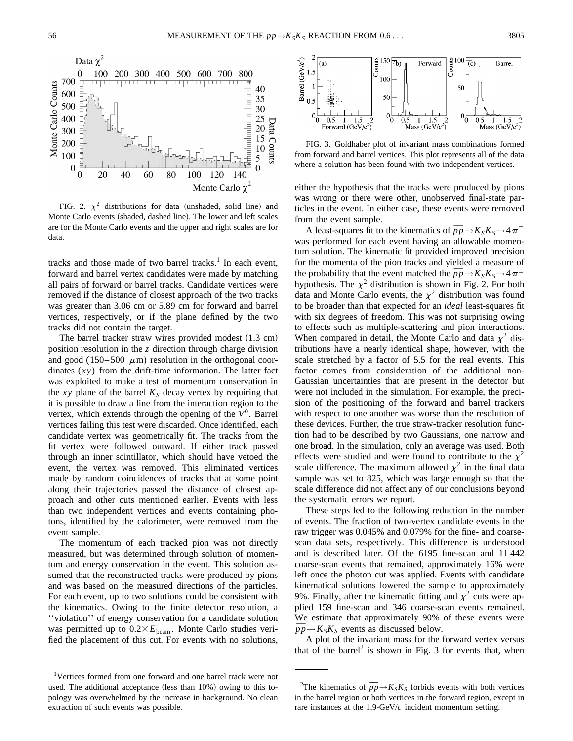

FIG. 2.  $\chi^2$  distributions for data (unshaded, solid line) and Monte Carlo events (shaded, dashed line). The lower and left scales are for the Monte Carlo events and the upper and right scales are for data.

tracks and those made of two barrel tracks.<sup>1</sup> In each event, forward and barrel vertex candidates were made by matching all pairs of forward or barrel tracks. Candidate vertices were removed if the distance of closest approach of the two tracks was greater than 3.06 cm or 5.89 cm for forward and barrel vertices, respectively, or if the plane defined by the two tracks did not contain the target.

The barrel tracker straw wires provided modest  $(1.3 \text{ cm})$ position resolution in the *z* direction through charge division and good (150–500  $\mu$ m) resolution in the orthogonal coordinates (*xy*) from the drift-time information. The latter fact was exploited to make a test of momentum conservation in the *xy* plane of the barrel  $K<sub>S</sub>$  decay vertex by requiring that it is possible to draw a line from the interaction region to the vertex, which extends through the opening of the  $V^0$ . Barrel vertices failing this test were discarded. Once identified, each candidate vertex was geometrically fit. The tracks from the fit vertex were followed outward. If either track passed through an inner scintillator, which should have vetoed the event, the vertex was removed. This eliminated vertices made by random coincidences of tracks that at some point along their trajectories passed the distance of closest approach and other cuts mentioned earlier. Events with less than two independent vertices and events containing photons, identified by the calorimeter, were removed from the event sample.

The momentum of each tracked pion was not directly measured, but was determined through solution of momentum and energy conservation in the event. This solution assumed that the reconstructed tracks were produced by pions and was based on the measured directions of the particles. For each event, up to two solutions could be consistent with the kinematics. Owing to the finite detector resolution, a ''violation'' of energy conservation for a candidate solution was permitted up to  $0.2 \times E_{\text{beam}}$ . Monte Carlo studies verified the placement of this cut. For events with no solutions,



FIG. 3. Goldhaber plot of invariant mass combinations formed from forward and barrel vertices. This plot represents all of the data where a solution has been found with two independent vertices.

either the hypothesis that the tracks were produced by pions was wrong or there were other, unobserved final-state particles in the event. In either case, these events were removed from the event sample.

m the event sample.<br>A least-squares fit to the kinematics of  $\bar{p}p \rightarrow K_S K_S \rightarrow 4 \pi^{\pm}$ was performed for each event having an allowable momentum solution. The kinematic fit provided improved precision for the momenta of the pion tracks and yielded a measure of for the momenta of the pion tracks and yielded a measure of the probability that the event matched the  $\bar{p}p \rightarrow K_S K_S \rightarrow 4\pi^{\pm}$ hypothesis. The  $\chi^2$  distribution is shown in Fig. 2. For both data and Monte Carlo events, the  $\chi^2$  distribution was found to be broader than that expected for an *ideal* least-squares fit with six degrees of freedom. This was not surprising owing to effects such as multiple-scattering and pion interactions. When compared in detail, the Monte Carlo and data  $\chi^2$  distributions have a nearly identical shape, however, with the scale stretched by a factor of 5.5 for the real events. This factor comes from consideration of the additional non-Gaussian uncertainties that are present in the detector but were not included in the simulation. For example, the precision of the positioning of the forward and barrel trackers with respect to one another was worse than the resolution of these devices. Further, the true straw-tracker resolution function had to be described by two Gaussians, one narrow and one broad. In the simulation, only an average was used. Both effects were studied and were found to contribute to the  $\chi^2$ scale difference. The maximum allowed  $\chi^2$  in the final data sample was set to 825, which was large enough so that the scale difference did not affect any of our conclusions beyond the systematic errors we report.

These steps led to the following reduction in the number of events. The fraction of two-vertex candidate events in the raw trigger was 0.045% and 0.079% for the fine- and coarsescan data sets, respectively. This difference is understood and is described later. Of the 6195 fine-scan and 11 442 coarse-scan events that remained, approximately 16% were left once the photon cut was applied. Events with candidate kinematical solutions lowered the sample to approximately 9%. Finally, after the kinematic fitting and  $\chi^2$  cuts were applied 159 fine-scan and 346 coarse-scan events remained. We estimate that approximately 90% of these events were  $\overline{p}p \rightarrow K_S K_S$  events as discussed below.

A plot of the invariant mass for the forward vertex versus that of the barrel<sup>2</sup> is shown in Fig. 3 for events that, when

<sup>&</sup>lt;sup>1</sup>Vertices formed from one forward and one barrel track were not used. The additional acceptance (less than  $10\%$ ) owing to this topology was overwhelmed by the increase in background. No clean extraction of such events was possible.

<sup>&</sup>lt;sup>2</sup>The kinematics of  $\bar{p}p \rightarrow K_S K_S$  forbids events with both vertices in the barrel region or both vertices in the forward region, except in rare instances at the 1.9-GeV/*c* incident momentum setting.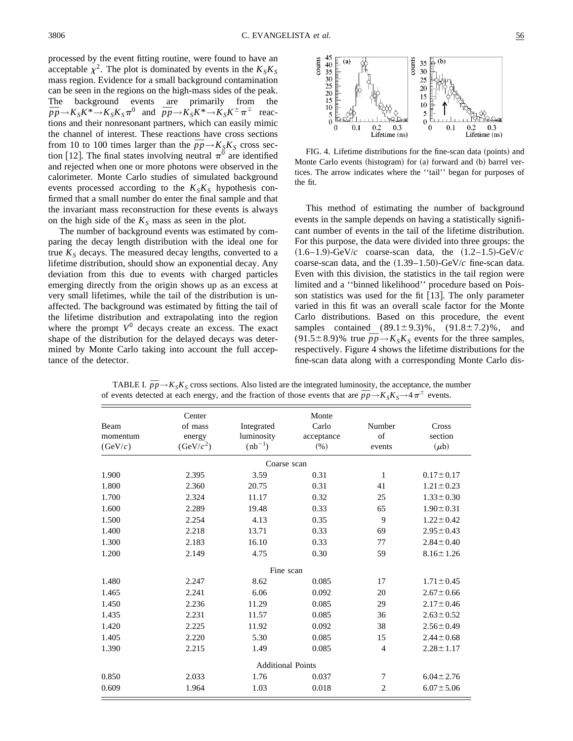processed by the event fitting routine, were found to have an acceptable  $\chi^2$ . The plot is dominated by events in the  $K_S K_S$ mass region. Evidence for a small background contamination can be seen in the regions on the high-mass sides of the peak. The background events are primarily from the The background events are primarily from the  $\bar{p}p \rightarrow K_S K^* \rightarrow K_S K^* \rightarrow K_S K^{\pm} \pi^{\mp}$  reactions and their nonresonant partners, which can easily mimic the channel of interest. These reactions have cross sections from 10 to 100 times larger than the  $\bar{p}p \rightarrow K_S K_S$  cross section [12]. The final states involving neutral  $\pi^0$  are identified and rejected when one or more photons were observed in the calorimeter. Monte Carlo studies of simulated background events processed according to the  $K_S K_S$  hypothesis confirmed that a small number do enter the final sample and that the invariant mass reconstruction for these events is always on the high side of the  $K<sub>S</sub>$  mass as seen in the plot.

The number of background events was estimated by comparing the decay length distribution with the ideal one for true  $K<sub>S</sub>$  decays. The measured decay lengths, converted to a lifetime distribution, should show an exponential decay. Any deviation from this due to events with charged particles emerging directly from the origin shows up as an excess at very small lifetimes, while the tail of the distribution is unaffected. The background was estimated by fitting the tail of the lifetime distribution and extrapolating into the region where the prompt  $V^0$  decays create an excess. The exact shape of the distribution for the delayed decays was determined by Monte Carlo taking into account the full acceptance of the detector.



FIG. 4. Lifetime distributions for the fine-scan data (points) and Monte Carlo events (histogram) for (a) forward and (b) barrel vertices. The arrow indicates where the ''tail'' began for purposes of the fit.

This method of estimating the number of background events in the sample depends on having a statistically significant number of events in the tail of the lifetime distribution. For this purpose, the data were divided into three groups: the  $(1.6-1.9)$ -GeV/*c* coarse-scan data, the  $(1.2-1.5)$ -GeV/*c* coarse-scan data, and the  $(1.39-1.50)$ -GeV/ $c$  fine-scan data. Even with this division, the statistics in the tail region were limited and a ''binned likelihood'' procedure based on Poisson statistics was used for the fit  $[13]$ . The only parameter varied in this fit was an overall scale factor for the Monte Carlo distributions. Based on this procedure, the event samples contained  $(89.1 \pm 9.3)\%$ ,  $(91.8 \pm 7.2)\%$ , and  $(91.5 \pm 8.9)$ % true  $\bar{p}p \rightarrow K_S K_S$  events for the three samples, respectively. Figure 4 shows the lifetime distributions for the fine-scan data along with a corresponding Monte Carlo dis-

|          | Center                |                          | Monte      |                |                 |
|----------|-----------------------|--------------------------|------------|----------------|-----------------|
| Beam     | of mass               | Integrated               | Carlo      | Number         | Cross           |
| momentum | energy                | luminosity               | acceptance | of             | section         |
| (GeV/c)  | (GeV/c <sup>2</sup> ) | $(nb^{-1})$              | (% )       | events         | $(\mu b)$       |
|          |                       | Coarse scan              |            |                |                 |
| 1.900    | 2.395                 | 3.59                     | 0.31       | 1              | $0.17 \pm 0.17$ |
| 1.800    | 2.360                 | 20.75                    | 0.31       | 41             | $1.21 \pm 0.23$ |
| 1.700    | 2.324                 | 11.17                    | 0.32       | 25             | $1.33 \pm 0.30$ |
| 1.600    | 2.289                 | 19.48                    | 0.33       | 65             | $1.90 \pm 0.31$ |
| 1.500    | 2.254                 | 4.13                     | 0.35       | 9              | $1.22 \pm 0.42$ |
| 1.400    | 2.218                 | 13.71                    | 0.33       | 69             | $2.95 \pm 0.43$ |
| 1.300    | 2.183                 | 16.10                    | 0.33       | 77             | $2.84 \pm 0.40$ |
| 1.200    | 2.149                 | 4.75                     | 0.30       | 59             | $8.16 \pm 1.26$ |
|          |                       | Fine scan                |            |                |                 |
| 1.480    | 2.247                 | 8.62                     | 0.085      | 17             | $1.71 \pm 0.45$ |
| 1.465    | 2.241                 | 6.06                     | 0.092      | 20             | $2.67 \pm 0.66$ |
| 1.450    | 2.236                 | 11.29                    | 0.085      | 29             | $2.17 \pm 0.46$ |
| 1.435    | 2.231                 | 11.57                    | 0.085      | 36             | $2.63 \pm 0.52$ |
| 1.420    | 2.225                 | 11.92                    | 0.092      | 38             | $2.56 \pm 0.49$ |
| 1.405    | 2.220                 | 5.30                     | 0.085      | 15             | $2.44 \pm 0.68$ |
| 1.390    | 2.215                 | 1.49                     | 0.085      | $\overline{4}$ | $2.28 \pm 1.17$ |
|          |                       | <b>Additional Points</b> |            |                |                 |
| 0.850    | 2.033                 | 1.76                     | 0.037      | 7              | $6.04 \pm 2.76$ |
| 0.609    | 1.964                 | 1.03                     | 0.018      | $\overline{2}$ | $6.07 \pm 5.06$ |

TABLE I.  $\bar{p}p \rightarrow K_S K_S$  cross sections. Also listed are the integrated luminosity, the acceptance, the number **of events detected at each energy, and the fraction of those events that are**  $\bar{p}p \rightarrow K_{S}K_{S} \rightarrow 4\pi^{\pm}$  **events.**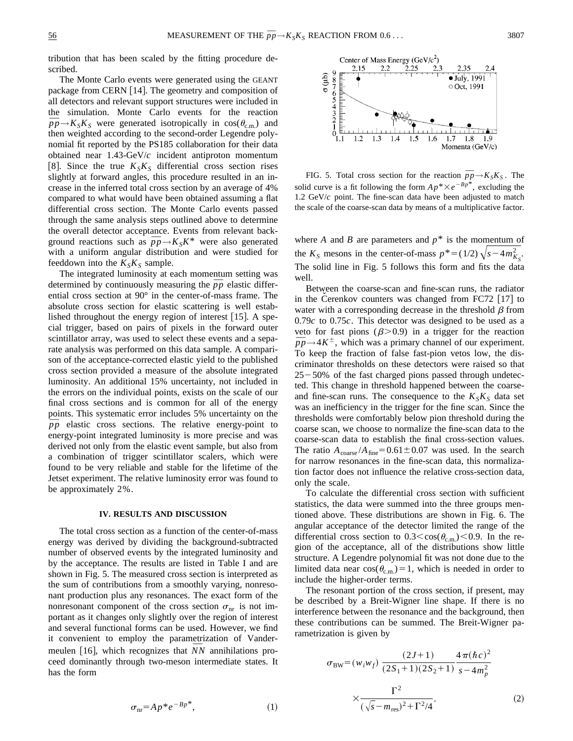tribution that has been scaled by the fitting procedure described.

The Monte Carlo events were generated using the GEANT package from CERN  $[14]$ . The geometry and composition of all detectors and relevant support structures were included in the simulation. Monte Carlo events for the reaction  $\bar{p}p \rightarrow K_{S}K_{S}$  were generated isotropically in cos( $\theta_{c.m.}$ ) and then weighted according to the second-order Legendre polynomial fit reported by the PS185 collaboration for their data obtained near 1.43-GeV/*c* incident antiproton momentum [8]. Since the true  $K_S K_S$  differential cross section rises slightly at forward angles, this procedure resulted in an increase in the inferred total cross section by an average of 4% compared to what would have been obtained assuming a flat differential cross section. The Monte Carlo events passed through the same analysis steps outlined above to determine the overall detector acceptance. Events from relevant background reactions such as  $\bar{p}p \rightarrow K_S K^*$  were also generated with a uniform angular distribution and were studied for feeddown into the  $K_S K_S$  sample.

The integrated luminosity at each momentum setting was determined by continuously measuring the  $\bar{p}p$  elastic differential cross section at 90° in the center-of-mass frame. The absolute cross section for elastic scattering is well established throughout the energy region of interest  $[15]$ . A special trigger, based on pairs of pixels in the forward outer scintillator array, was used to select these events and a separate analysis was performed on this data sample. A comparison of the acceptance-corrected elastic yield to the published cross section provided a measure of the absolute integrated luminosity. An additional 15% uncertainty, not included in the errors on the individual points, exists on the scale of our final cross sections and is common for all of the energy points. This systematic error includes 5% uncertainty on the  $\bar{p}p$  elastic cross sections. The relative energy-point to energy-point integrated luminosity is more precise and was derived not only from the elastic event sample, but also from a combination of trigger scintillator scalers, which were found to be very reliable and stable for the lifetime of the Jetset experiment. The relative luminosity error was found to be approximately 2%.

#### **IV. RESULTS AND DISCUSSION**

The total cross section as a function of the center-of-mass energy was derived by dividing the background-subtracted number of observed events by the integrated luminosity and by the acceptance. The results are listed in Table I and are shown in Fig. 5. The measured cross section is interpreted as the sum of contributions from a smoothly varying, nonresonant production plus any resonances. The exact form of the nonresonant component of the cross section  $\sigma_{nr}$  is not important as it changes only slightly over the region of interest and several functional forms can be used. However, we find it convenient to employ the parametrization of Vandermeulen [16], which recognizes that *NN* annihilations proceed dominantly through two-meson intermediate states. It has the form



FIG. 5. Total cross section for the reaction  $\bar{p}p \rightarrow K_S K_S$ . The solid curve is a fit following the form  $Ap^* \times e^{-Bp^*}$ , excluding the 1.2 GeV/*c* point. The fine-scan data have been adjusted to match the scale of the coarse-scan data by means of a multiplicative factor.

where *A* and *B* are parameters and  $p^*$  is the momentum of the  $K_S$  mesons in the center-of-mass  $p^* = (1/2)\sqrt{s-4m_{K_S}^2}$ . The solid line in Fig. 5 follows this form and fits the data well.

Between the coarse-scan and fine-scan runs, the radiator in the Cerenkov counters was changed from FC72  $[17]$  to water with a corresponding decrease in the threshold  $\beta$  from 0.79*c* to 0.75*c*. This detector was designed to be used as a veto for fast pions  $(\beta > 0.9)$  in a trigger for the reaction veto for fast pions ( $\beta$ >0.9) in a trigger for the reaction  $\bar{p}p \rightarrow 4K^{\pm}$ , which was a primary channel of our experiment. To keep the fraction of false fast-pion vetos low, the discriminator thresholds on these detectors were raised so that  $25-50%$  of the fast charged pions passed through undetected. This change in threshold happened between the coarseand fine-scan runs. The consequence to the  $K_S K_S$  data set was an inefficiency in the trigger for the fine scan. Since the thresholds were comfortably below pion threshold during the coarse scan, we choose to normalize the fine-scan data to the coarse-scan data to establish the final cross-section values. The ratio  $A_{\text{coarse}}/A_{\text{fine}}=0.61\pm0.07$  was used. In the search for narrow resonances in the fine-scan data, this normalization factor does not influence the relative cross-section data, only the scale.

To calculate the differential cross section with sufficient statistics, the data were summed into the three groups mentioned above. These distributions are shown in Fig. 6. The angular acceptance of the detector limited the range of the differential cross section to  $0.3 < \cos(\theta_{\rm cm})$ ,  $0.9$ . In the region of the acceptance, all of the distributions show little structure. A Legendre polynomial fit was not done due to the limited data near  $cos(\theta_{c.m.})=1$ , which is needed in order to include the higher-order terms.

The resonant portion of the cross section, if present, may be described by a Breit-Wigner line shape. If there is no interference between the resonance and the background, then these contributions can be summed. The Breit-Wigner parametrization is given by

$$
\sigma_{BW} = (w_i w_f) \frac{(2J+1)}{(2S_1+1)(2S_2+1)} \frac{4\pi(\hbar c)^2}{s-4m_p^2} \times \frac{\Gamma^2}{(\sqrt{s}-m_{res})^2+\Gamma^2/4}.
$$
 (2)

$$
\sigma_{\rm nr} = A p^* e^{-B p^*},\tag{1}
$$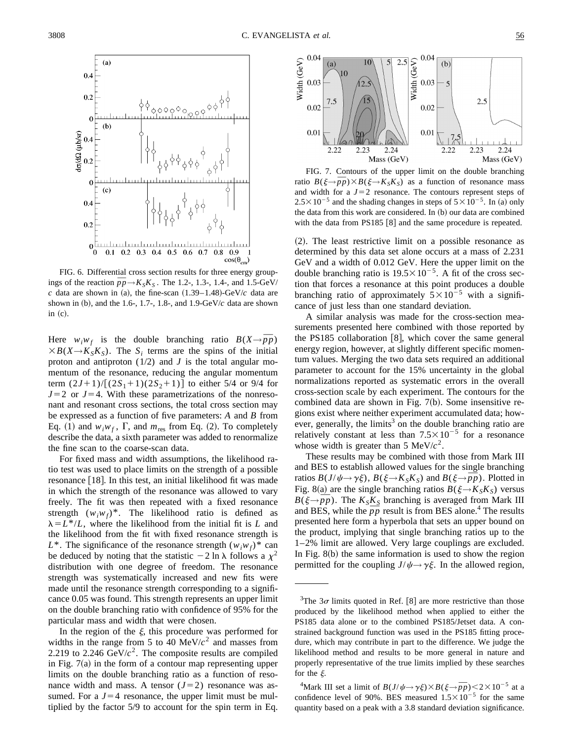

FIG. 6. Differential cross section results for three energy group-FIG. 6. Differential cross section results for three energy group-<br>ings of the reaction  $\bar{p}p \rightarrow K_S K_S$ . The 1.2-, 1.3-, 1.4-, and 1.5-GeV/ *c* data are shown in (a), the fine-scan  $(1.39-1.48)$ -GeV/*c* data are shown in (b), and the 1.6-, 1.7-, 1.8-, and 1.9- $GeV/c$  data are shown in  $(c)$ .

Here  $w_i w_f$  is the double branching ratio  $B(X \rightarrow \overline{p}p)$  $\times B(X \rightarrow K_S K_S)$ . The *S<sub>i</sub>* terms are the spins of the initial proton and antiproton  $(1/2)$  and *J* is the total angular momentum of the resonance, reducing the angular momentum term  $(2J+1)/[(2S_1+1)(2S_2+1)]$  to either 5/4 or 9/4 for  $J=2$  or  $J=4$ . With these parametrizations of the nonresonant and resonant cross sections, the total cross section may be expressed as a function of five parameters: *A* and *B* from Eq. (1) and  $w_i w_f$ ,  $\Gamma$ , and  $m_{res}$  from Eq. (2). To completely describe the data, a sixth parameter was added to renormalize the fine scan to the coarse-scan data.

For fixed mass and width assumptions, the likelihood ratio test was used to place limits on the strength of a possible resonance  $\lfloor 18 \rfloor$ . In this test, an initial likelihood fit was made in which the strength of the resonance was allowed to vary freely. The fit was then repeated with a fixed resonance strength  $(w_i w_f)^*$ . The likelihood ratio is defined as  $\lambda = L^*/L$ , where the likelihood from the initial fit is *L* and the likelihood from the fit with fixed resonance strength is  $L^*$ . The significance of the resonance strength  $(w_i w_f)^*$  can be deduced by noting that the statistic  $-2 \ln \lambda$  follows a  $\chi^2$ distribution with one degree of freedom. The resonance strength was systematically increased and new fits were made until the resonance strength corresponding to a significance 0.05 was found. This strength represents an upper limit on the double branching ratio with confidence of 95% for the particular mass and width that were chosen.

In the region of the  $\xi$ , this procedure was performed for widths in the range from 5 to 40  $MeV/c<sup>2</sup>$  and masses from 2.219 to 2.246  $GeV/c^2$ . The composite results are compiled in Fig.  $7(a)$  in the form of a contour map representing upper limits on the double branching ratio as a function of resonance width and mass. A tensor  $(J=2)$  resonance was assumed. For a  $J=4$  resonance, the upper limit must be multiplied by the factor 5/9 to account for the spin term in Eq.



FIG. 7. Contours of the upper limit on the double branching FIG. *I*. Contours of the upper limit on the double branching<br>ratio  $B(\xi \to \bar{p}p) \times B(\xi \to K_S K_S)$  as a function of resonance mass and width for a  $J=2$  resonance. The contours represent steps of  $2.5 \times 10^{-5}$  and the shading changes in steps of  $5 \times 10^{-5}$ . In (a) only the data from this work are considered. In  $(b)$  our data are combined with the data from PS185  $[8]$  and the same procedure is repeated.

 $(2)$ . The least restrictive limit on a possible resonance as determined by this data set alone occurs at a mass of 2.231 GeV and a width of 0.012 GeV. Here the upper limit on the double branching ratio is  $19.5 \times 10^{-5}$ . A fit of the cross section that forces a resonance at this point produces a double branching ratio of approximately  $5\times10^{-5}$  with a significance of just less than one standard deviation.

A similar analysis was made for the cross-section measurements presented here combined with those reported by the PS185 collaboration  $[8]$ , which cover the same general energy region, however, at slightly different specific momentum values. Merging the two data sets required an additional parameter to account for the 15% uncertainty in the global normalizations reported as systematic errors in the overall cross-section scale by each experiment. The contours for the combined data are shown in Fig.  $7(b)$ . Some insensitive regions exist where neither experiment accumulated data; however, generally, the limits<sup>3</sup> on the double branching ratio are relatively constant at less than  $7.5 \times 10^{-5}$  for a resonance whose width is greater than 5 MeV/ $c^2$ .

These results may be combined with those from Mark III and BES to establish allowed values for the single branching and BES to establish allowed values for the single branching<br>ratios  $B(J/\psi \rightarrow \gamma \xi)$ ,  $B(\xi \rightarrow K_S K_S)$  and  $B(\xi \rightarrow \bar{p}p)$ . Plotted in Fig. 8(a) are the single branching ratios  $B(\xi \rightarrow K_S K_S)$  versus  $B(\xi \rightarrow \bar{p}p)$ . The  $K_S K_S$  branching is averaged from Mark III and BES, while the  $\bar{p}p$  result is from BES alone.<sup>4</sup> The results presented here form a hyperbola that sets an upper bound on the product, implying that single branching ratios up to the 1–2% limit are allowed. Very large couplings are excluded. In Fig.  $8(b)$  the same information is used to show the region permitted for the coupling  $J/\psi \rightarrow \gamma \xi$ . In the allowed region,

<sup>&</sup>lt;sup>3</sup>The 3 $\sigma$  limits quoted in Ref. [8] are more restrictive than those produced by the likelihood method when applied to either the PS185 data alone or to the combined PS185/Jetset data. A constrained background function was used in the PS185 fitting procedure, which may contribute in part to the difference. We judge the likelihood method and results to be more general in nature and properly representative of the true limits implied by these searches for the  $\xi$ .

<sup>&</sup>lt;sup>4</sup>Mark III set a limit of  $B(J/\psi \rightarrow \gamma \xi) \times B(\xi \rightarrow \bar{p}p)$  < 2 × 10<sup>-5</sup> at a confidence level of 90%. BES measured  $1.5 \times 10^{-5}$  for the same quantity based on a peak with a 3.8 standard deviation significance.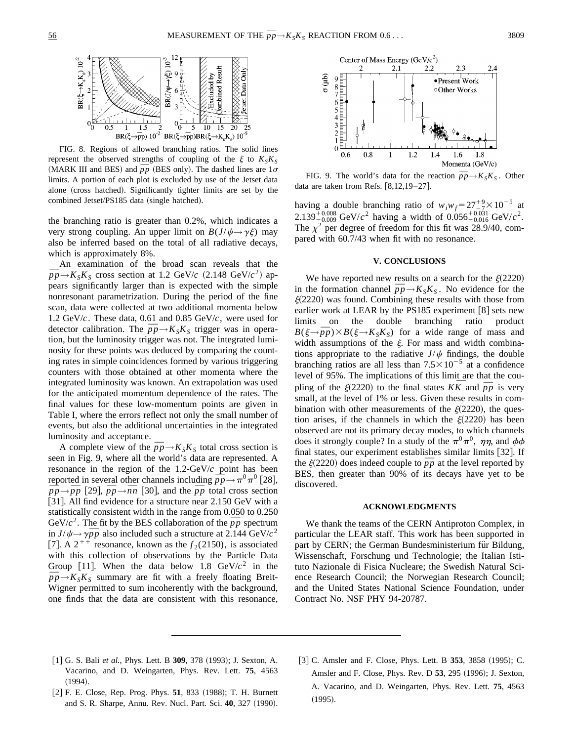

FIG. 8. Regions of allowed branching ratios. The solid lines represent the observed strengths of coupling of the  $\xi$  to  $K_S K_S$ (MARK III and BES) and  $\bar{p}p$  (BES only). The dashed lines are  $1\sigma$ limits. A portion of each plot is excluded by use of the Jetset data alone (cross hatched). Significantly tighter limits are set by the combined Jetset/PS185 data (single hatched).

the branching ratio is greater than 0.2%, which indicates a very strong coupling. An upper limit on  $B(J/\psi \rightarrow \gamma \xi)$  may also be inferred based on the total of all radiative decays, which is approximately 8%.

An examination of the broad scan reveals that the An examination of the broad scan reveals that the  $\bar{p}p \rightarrow K_S K_S$  cross section at 1.2 GeV/*c* (2.148 GeV/*c*<sup>2</sup>) appears significantly larger than is expected with the simple nonresonant parametrization. During the period of the fine scan, data were collected at two additional momenta below 1.2 GeV/*c*. These data, 0.61 and 0.85 GeV/*c*, were used for 1.2 GeV/c. These data, 0.61 and 0.85 GeV/c, were used for detector calibration. The  $\bar{p}p \rightarrow K_S K_S$  trigger was in operation, but the luminosity trigger was not. The integrated luminosity for these points was deduced by comparing the counting rates in simple coincidences formed by various triggering counters with those obtained at other momenta where the integrated luminosity was known. An extrapolation was used for the anticipated momentum dependence of the rates. The final values for these low-momentum points are given in Table I, where the errors reflect not only the small number of events, but also the additional uncertainties in the integrated luminosity and acceptance.

A complete view of the  $\bar{p}p \rightarrow K_S K_S$  total cross section is seen in Fig. 9, where all the world's data are represented. A resonance in the region of the 1.2-GeV/*c* point has been resonance in the region of the 1.2-GeV/c point has been<br>reported in several other channels including  $\bar{p}p \rightarrow \pi^0 \pi^0$  [28],  $\bar{p}p \rightarrow \bar{p}p$  [29],  $\bar{p}p \rightarrow \bar{n}n$  [30], and the  $\bar{p}p$  total cross section [31]. All find evidence for a structure near 2.150 GeV with a statistically consistent width in the range from 0.050 to 0.250 statistically consistent width in the range from 0.050 to 0.250<br>GeV/ $c^2$ . The fit by the BES collaboration of the  $\bar{p}p$  spectrum GeV/*c*<sup>-</sup>. The fit by the BES collaboration of the *pp* spectrum<br>in  $J/\psi \rightarrow \gamma \bar{p}p$  also included such a structure at 2.144 GeV/*c*<sup>2</sup> [7]. A  $2^{+\frac{1}{4}}$  resonance, known as the  $f_2(2150)$ , is associated with this collection of observations by the Particle Data Group [11]. When the data below 1.8  $GeV/c^2$  in the Group [11]. When the data below 1.8 GeV/ $c^2$  in the  $\bar{p}p \rightarrow K_S K_S$  summary are fit with a freely floating Breit-Wigner permitted to sum incoherently with the background, one finds that the data are consistent with this resonance,



FIG. 9. The world's data for the reaction  $\bar{p}p \rightarrow K_S K_S$ . Other data are taken from Refs.  $[8,12,19-27]$ .

having a double branching ratio of  $w_i w_f = 27\frac{+9}{27} \times 10^{-5}$  at  $2.139_{-0.009}^{+0.008}$  GeV/ $c^2$  having a width of  $0.056_{-0.016}^{+0.031}$  GeV/ $c^2$ . The  $\chi^2$  per degree of freedom for this fit was 28.9/40, compared with 60.7/43 when fit with no resonance.

#### **V. CONCLUSIONS**

We have reported new results on a search for the  $\xi(2220)$ we have reported new results on a search for the  $\xi$ (2220)<br>in the formation channel  $\bar{p}p \rightarrow K_S K_S$ . No evidence for the  $\xi(2220)$  was found. Combining these results with those from earlier work at LEAR by the PS185 experiment  $\lceil 8 \rceil$  sets new limits on the double branching ratio product  $B(\xi \rightarrow \bar{p}p) \times B(\xi \rightarrow K_S K_S)$  for a wide range of mass and width assumptions of the  $\xi$ . For mass and width combinations appropriate to the radiative  $J/\psi$  findings, the double branching ratios are all less than  $7.5 \times 10^{-5}$  at a confidence level of 95%. The implications of this limit are that the coulevel of 95%. The implications of this limit are that the coupling of the  $\xi(2220)$  to the final states  $K\overline{K}$  and  $\overline{p}p$  is very small, at the level of 1% or less. Given these results in combination with other measurements of the  $\xi(2220)$ , the question arises, if the channels in which the  $\xi(2220)$  has been observed are not its primary decay modes, to which channels does it strongly couple? In a study of the  $\pi^0 \pi^0$ ,  $\eta \eta$ , and  $\phi \phi$ final states, our experiment establishes similar limits  $[32]$ . If the  $\xi(2220)$  does indeed couple to  $\overline{p}p$  at the level reported by BES, then greater than 90% of its decays have yet to be discovered.

#### **ACKNOWLEDGMENTS**

We thank the teams of the CERN Antiproton Complex, in particular the LEAR staff. This work has been supported in part by CERN; the German Bundesministerium für Bildung, Wissenschaft, Forschung und Technologie; the Italian Istituto Nazionale di Fisica Nucleare; the Swedish Natural Science Research Council; the Norwegian Research Council; and the United States National Science Foundation, under Contract No. NSF PHY 94-20787.

- [1] G. S. Bali *et al.*, Phys. Lett. B **309**, 378 (1993); J. Sexton, A. Vacarino, and D. Weingarten, Phys. Rev. Lett. **75**, 4563  $(1994).$
- [2] F. E. Close, Rep. Prog. Phys. 51, 833 (1988); T. H. Burnett and S. R. Sharpe, Annu. Rev. Nucl. Part. Sci. 40, 327 (1990).
- [3] C. Amsler and F. Close, Phys. Lett. B **353**, 3858 (1995); C. Amsler and F. Close, Phys. Rev. D 53, 295 (1996); J. Sexton, A. Vacarino, and D. Weingarten, Phys. Rev. Lett. **75**, 4563  $(1995).$